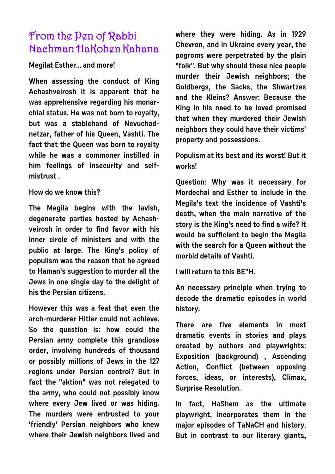# **From the Pen of Rabbi Nachman HaKohen Kahana**

## **Megilat Esther... and more!**

**When assessing the conduct of King Achashveirosh it is apparent that he was apprehensive regarding his monarchial status. He was not born to royalty, but was a stablehand of Nevuchadnetzar, father of his Queen, Vashti. The fact that the Queen was born to royalty while he was a commoner instilled in him feelings of insecurity and selfmistrust .**

# **How do we know this?**

**The Megila begins with the lavish, degenerate parties hosted by Achashveirosh in order to find favor with his inner circle of ministers and with the public at large. The King's policy of populism was the reason that he agreed to Haman's suggestion to murder all the Jews in one single day to the delight of his the Persian citizens.**

**However this was a feat that even the arch-murderer Hitler could not achieve. So the question is: how could the Persian army complete this grandiose order, involving hundreds of thousand or possibly millions of Jews in the 127 regions under Persian control? But in fact the "aktion" was not relegated to the army, who could not possibly know where every Jew lived or was hiding. The murders were entrusted to your 'friendly' Persian neighbors who knew where their Jewish neighbors lived and** **where they were hiding. As in 1929 Chevron, and in Ukraine every year, the pogroms were perpetrated by the plain "folk". But why should these nice people murder their Jewish neighbors; the Goldbergs, the Sacks, the Shwartzes and the Kleins? Answer: Because the King in his need to be loved promised that when they murdered their Jewish neighbors they could have their victims' property and possessions.**

**Populism at its best and its worst! But it works!**

**Question: Why was it necessary for Mordechai and Esther to include in the Megila's text the incidence of Vashti's death, when the main narrative of the story is the King's need to find a wife? It would be sufficient to begin the Megila with the search for a Queen without the morbid details of Vashti.**

**I will return to this BE"H.**

**An necessary principle when trying to decode the dramatic episodes in world history.**

**There are five elements in most dramatic events in stories and plays created by authors and playwrights: Exposition (background) , Ascending Action, Conflict (between opposing forces, ideas, or interests), Climax, Surprise Resolution.**

**In fact, HaShem as the ultimate playwright, incorporates them in the major episodes of TaNaCH and history. But in contrast to our literary giants,**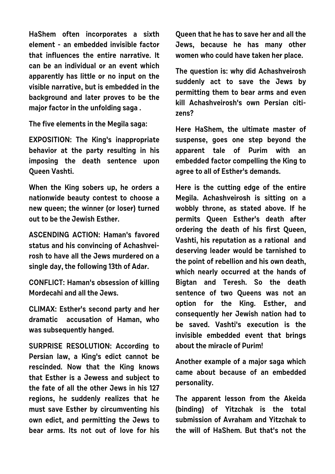**HaShem often incorporates a sixth element - an embedded invisible factor that influences the entire narrative. It can be an individual or an event which apparently has little or no input on the visible narrative, but is embedded in the background and later proves to be the major factor in the unfolding saga .**

**The five elements in the Megila saga:**

**EXPOSITION: The King's inappropriate behavior at the party resulting in his imposing the death sentence upon Queen Vashti.**

**When the King sobers up, he orders a nationwide beauty contest to choose a new queen; the winner (or loser) turned out to be the Jewish Esther.** 

**ASCENDING ACTION: Haman's favored status and his convincing of Achashveirosh to have all the Jews murdered on a single day, the following 13th of Adar.**

**CONFLICT: Haman's obsession of killing Mordecahi and all the Jews.**

**CLIMAX: Esther's second party and her dramatic accusation of Haman, who was subsequently hanged.**

**SURPRISE RESOLUTION: According to Persian law, a King's edict cannot be rescinded. Now that the King knows that Esther is a Jewess and subject to the fate of all the other Jews in his 127 regions, he suddenly realizes that he must save Esther by circumventing his own edict, and permitting the Jews to bear arms. Its not out of love for his** **Queen that he has to save her and all the Jews, because he has many other women who could have taken her place.**

**The question is: why did Achashveirosh suddenly act to save the Jews by permitting them to bear arms and even kill Achashveirosh's own Persian citizens?**

**Here HaShem, the ultimate master of suspense, goes one step beyond the apparent tale of Purim with an embedded factor compelling the King to agree to all of Esther's demands.** 

**Here is the cutting edge of the entire Megila. Achashveirosh is sitting on a wobbly throne, as stated above. If he permits Queen Esther's death after ordering the death of his first Queen, Vashti, his reputation as a rational and deserving leader would be tarnished to the point of rebellion and his own death, which nearly occurred at the hands of Bigtan and Teresh. So the death sentence of two Queens was not an option for the King. Esther, and consequently her Jewish nation had to be saved. Vashti's execution is the invisible embedded event that brings about the miracle of Purim!** 

**Another example of a major saga which came about because of an embedded personality.**

**The apparent lesson from the Akeida (binding) of Yitzchak is the total submission of Avraham and Yitzchak to the will of HaShem. But that's not the**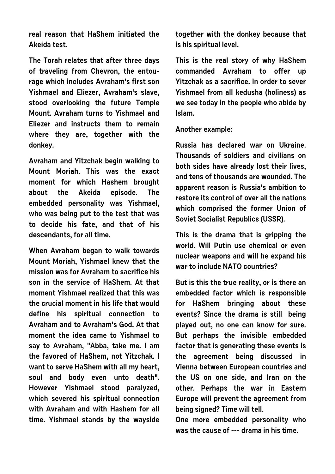**real reason that HaShem initiated the Akeida test.**

**The Torah relates that after three days of traveling from Chevron, the entourage which includes Avraham's first son Yishmael and Eliezer, Avraham's slave, stood overlooking the future Temple Mount. Avraham turns to Yishmael and Eliezer and instructs them to remain where they are, together with the donkey.**

**Avraham and Yitzchak begin walking to Mount Moriah. This was the exact moment for which Hashem brought about the Akeida episode. The embedded personality was Yishmael, who was being put to the test that was to decide his fate, and that of his descendants, for all time.**

**When Avraham began to walk towards Mount Moriah, Yishmael knew that the mission was for Avraham to sacrifice his son in the service of HaShem. At that moment Yishmael realized that this was the crucial moment in his life that would define his spiritual connection to Avraham and to Avraham's God. At that moment the idea came to Yishmael to say to Avraham, "Abba, take me. I am the favored of HaShem, not Yitzchak. I want to serve HaShem with all my heart, soul and body even unto death". However Yishmael stood paralyzed, which severed his spiritual connection with Avraham and with Hashem for all time. Yishmael stands by the wayside**

**together with the donkey because that is his spiritual level.** 

**This is the real story of why HaShem commanded Avraham to offer up Yitzchak as a sacrifice. In order to sever Yishmael from all kedusha (holiness) as we see today in the people who abide by Islam.**

#### **Another example:**

**Russia has declared war on Ukraine. Thousands of soldiers and civilians on both sides have already lost their lives, and tens of thousands are wounded. The apparent reason is Russia's ambition to restore its control of over all the nations which comprised the former Union of Soviet Socialist Republics (USSR).**

**This is the drama that is gripping the world. Will Putin use chemical or even nuclear weapons and will he expand his war to include NATO countries?**

**But is this the true reality, or is there an embedded factor which is responsible for HaShem bringing about these events? Since the drama is still being played out, no one can know for sure. But perhaps the invisible embedded factor that is generating these events is the agreement being discussed in Vienna between European countries and the US on one side, and Iran on the other. Perhaps the war in Eastern Europe will prevent the agreement from being signed? Time will tell.**

**One more embedded personality who was the cause of --- drama in his time.**